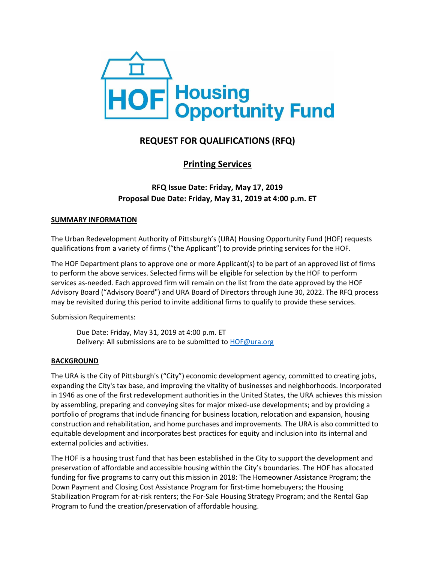

# **REQUEST FOR QUALIFICATIONS (RFQ)**

# **Printing Services**

# **RFQ Issue Date: Friday, May 17, 2019 Proposal Due Date: Friday, May 31, 2019 at 4:00 p.m. ET**

#### **SUMMARY INFORMATION**

The Urban Redevelopment Authority of Pittsburgh's (URA) Housing Opportunity Fund (HOF) requests qualifications from a variety of firms ("the Applicant") to provide printing services for the HOF.

The HOF Department plans to approve one or more Applicant(s) to be part of an approved list of firms to perform the above services. Selected firms will be eligible for selection by the HOF to perform services as-needed. Each approved firm will remain on the list from the date approved by the HOF Advisory Board ("Advisory Board") and URA Board of Directors through June 30, 2022. The RFQ process may be revisited during this period to invite additional firms to qualify to provide these services.

Submission Requirements:

Due Date: Friday, May 31, 2019 at 4:00 p.m. ET Delivery: All submissions are to be submitted t[o HOF@ura.org](mailto:HOF@ura.org)

## **BACKGROUND**

The URA is the City of Pittsburgh's ("City") economic development agency, committed to creating jobs, expanding the City's tax base, and improving the vitality of businesses and neighborhoods. Incorporated in 1946 as one of the first redevelopment authorities in the United States, the URA achieves this mission by assembling, preparing and conveying sites for major mixed-use developments; and by providing a portfolio of programs that include financing for business location, relocation and expansion, housing construction and rehabilitation, and home purchases and improvements. The URA is also committed to equitable development and incorporates best practices for equity and inclusion into its internal and external policies and activities.

The HOF is a housing trust fund that has been established in the City to support the development and preservation of affordable and accessible housing within the City's boundaries. The HOF has allocated funding for five programs to carry out this mission in 2018: The Homeowner Assistance Program; the Down Payment and Closing Cost Assistance Program for first-time homebuyers; the Housing Stabilization Program for at-risk renters; the For-Sale Housing Strategy Program; and the Rental Gap Program to fund the creation/preservation of affordable housing.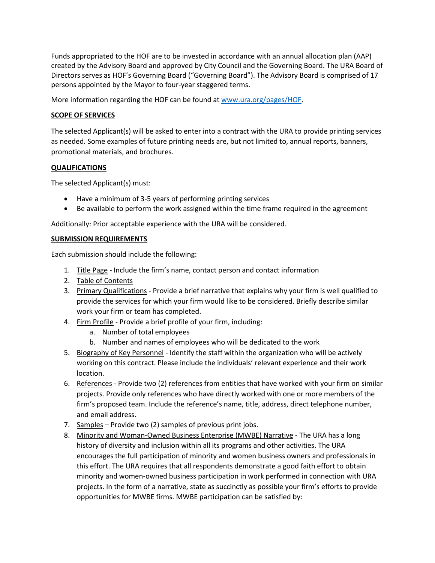Funds appropriated to the HOF are to be invested in accordance with an annual allocation plan (AAP) created by the Advisory Board and approved by City Council and the Governing Board. The URA Board of Directors serves as HOF's Governing Board ("Governing Board"). The Advisory Board is comprised of 17 persons appointed by the Mayor to four-year staggered terms.

More information regarding the HOF can be found a[t www.ura.org/pages/HOF.](http://www.ura.org/pages/HOF)

#### **SCOPE OF SERVICES**

The selected Applicant(s) will be asked to enter into a contract with the URA to provide printing services as needed. Some examples of future printing needs are, but not limited to, annual reports, banners, promotional materials, and brochures.

#### **QUALIFICATIONS**

The selected Applicant(s) must:

- Have a minimum of 3-5 years of performing printing services
- Be available to perform the work assigned within the time frame required in the agreement

Additionally: Prior acceptable experience with the URA will be considered.

#### **SUBMISSION REQUIREMENTS**

Each submission should include the following:

- 1. Title Page Include the firm's name, contact person and contact information
- 2. Table of Contents
- 3. Primary Qualifications Provide a brief narrative that explains why your firm is well qualified to provide the services for which your firm would like to be considered. Briefly describe similar work your firm or team has completed.
- 4. Firm Profile Provide a brief profile of your firm, including:
	- a. Number of total employees
	- b. Number and names of employees who will be dedicated to the work
- 5. Biography of Key Personnel Identify the staff within the organization who will be actively working on this contract. Please include the individuals' relevant experience and their work location.
- 6. References Provide two (2) references from entities that have worked with your firm on similar projects. Provide only references who have directly worked with one or more members of the firm's proposed team. Include the reference's name, title, address, direct telephone number, and email address.
- 7. Samples Provide two (2) samples of previous print jobs.
- 8. Minority and Woman-Owned Business Enterprise (MWBE) Narrative The URA has a long history of diversity and inclusion within all its programs and other activities. The URA encourages the full participation of minority and women business owners and professionals in this effort. The URA requires that all respondents demonstrate a good faith effort to obtain minority and women-owned business participation in work performed in connection with URA projects. In the form of a narrative, state as succinctly as possible your firm's efforts to provide opportunities for MWBE firms. MWBE participation can be satisfied by: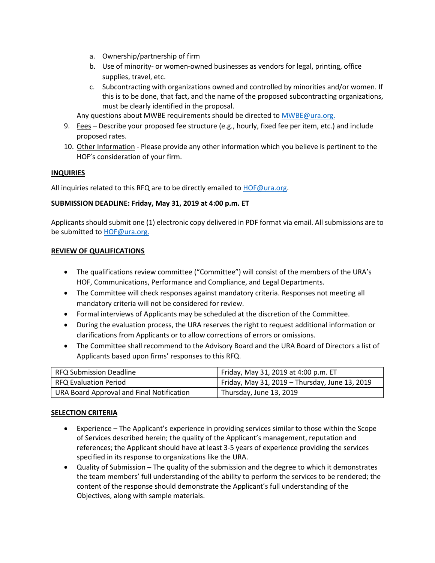- a. Ownership/partnership of firm
- b. Use of minority- or women-owned businesses as vendors for legal, printing, office supplies, travel, etc.
- c. Subcontracting with organizations owned and controlled by minorities and/or women. If this is to be done, that fact, and the name of the proposed subcontracting organizations, must be clearly identified in the proposal.

Any questions about MWBE requirements should be directed to **MWBE@ura.org**.

- 9. Fees Describe your proposed fee structure (e.g., hourly, fixed fee per item, etc.) and include proposed rates.
- 10. Other Information Please provide any other information which you believe is pertinent to the HOF's consideration of your firm.

#### **INQUIRIES**

All inquiries related to this RFQ are to be directly emailed to **HOF@ura.org**.

## **SUBMISSION DEADLINE: Friday, May 31, 2019 at 4:00 p.m. ET**

Applicants should submit one (1) electronic copy delivered in PDF format via email. All submissions are to be submitted to [HOF@ura.org.](mailto:HOF@ura.org)

#### **REVIEW OF QUALIFICATIONS**

- The qualifications review committee ("Committee") will consist of the members of the URA's HOF, Communications, Performance and Compliance, and Legal Departments.
- The Committee will check responses against mandatory criteria. Responses not meeting all mandatory criteria will not be considered for review.
- Formal interviews of Applicants may be scheduled at the discretion of the Committee.
- During the evaluation process, the URA reserves the right to request additional information or clarifications from Applicants or to allow corrections of errors or omissions.
- The Committee shall recommend to the Advisory Board and the URA Board of Directors a list of Applicants based upon firms' responses to this RFQ.

| RFQ Submission Deadline                   | Friday, May 31, 2019 at 4:00 p.m. ET           |
|-------------------------------------------|------------------------------------------------|
| RFQ Evaluation Period                     | Friday, May 31, 2019 - Thursday, June 13, 2019 |
| URA Board Approval and Final Notification | Thursday, June 13, 2019                        |

## **SELECTION CRITERIA**

- Experience The Applicant's experience in providing services similar to those within the Scope of Services described herein; the quality of the Applicant's management, reputation and references; the Applicant should have at least 3-5 years of experience providing the services specified in its response to organizations like the URA.
- Quality of Submission The quality of the submission and the degree to which it demonstrates the team members' full understanding of the ability to perform the services to be rendered; the content of the response should demonstrate the Applicant's full understanding of the Objectives, along with sample materials.